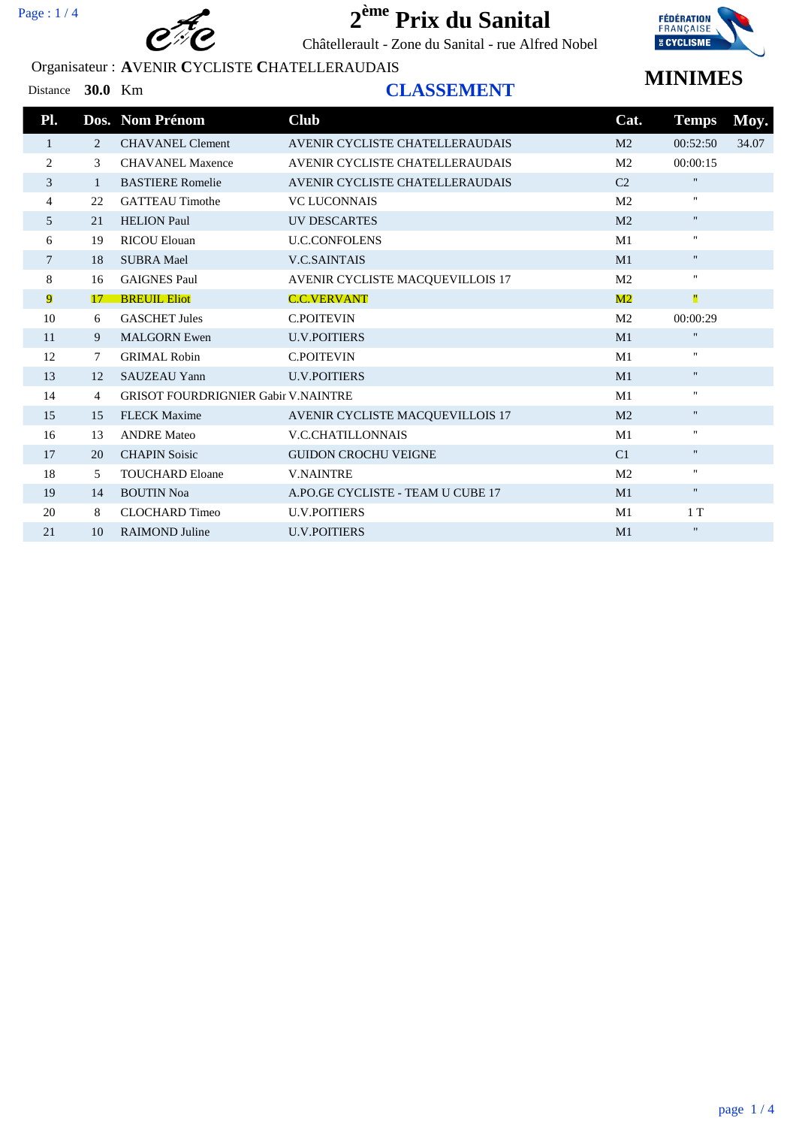

Châtellerault - Zone du Sanital - rue Alfred Nobel

### Organisateur : **A**VENIR **C**YCLISTE **C**HATELLERAUDAIS



## **MINIMES**

#### Distance **30.0** Km **CLASSEMENT**

| Pl.            |    | Dos. Nom Prénom                            | <b>Club</b>                       | Cat.           | <b>Temps</b>              | Moy.  |
|----------------|----|--------------------------------------------|-----------------------------------|----------------|---------------------------|-------|
| 1              | 2  | <b>CHAVANEL Clement</b>                    | AVENIR CYCLISTE CHATELLERAUDAIS   | M <sub>2</sub> | 00:52:50                  | 34.07 |
| 2              | 3  | <b>CHAVANEL Maxence</b>                    | AVENIR CYCLISTE CHATELLERAUDAIS   | M <sub>2</sub> | 00:00:15                  |       |
| 3              | 1  | <b>BASTIERE</b> Romelie                    | AVENIR CYCLISTE CHATELLERAUDAIS   | C <sub>2</sub> | $\mathbf H$               |       |
| $\overline{4}$ | 22 | <b>GATTEAU Timothe</b>                     | <b>VC LUCONNAIS</b>               | M <sub>2</sub> | $\mathbf{H}$              |       |
| 5              | 21 | <b>HELION Paul</b>                         | UV DESCARTES                      | M <sub>2</sub> | $\mathbf{H}$              |       |
| 6              | 19 | <b>RICOU Elouan</b>                        | <b>U.C.CONFOLENS</b>              | M1             | $\mathbf{H}$              |       |
| 7              | 18 | <b>SUBRA Mael</b>                          | <b>V.C.SAINTAIS</b>               | M1             | $\mathbf{H}$              |       |
| 8              | 16 | <b>GAIGNES Paul</b>                        | AVENIR CYCLISTE MACOUEVILLOIS 17  | M <sub>2</sub> | $\mathbf{H}$              |       |
| 9              | 17 | <b>BREUIL Eliot</b>                        | <b>C.C.VERVANT</b>                | $\mathbf{M}2$  | Ш                         |       |
| 10             | 6  | <b>GASCHET Jules</b>                       | <b>C.POITEVIN</b>                 | M <sub>2</sub> | 00:00:29                  |       |
| 11             | 9  | <b>MALGORN</b> Ewen                        | <b>U.V.POITIERS</b>               | M1             | $\mathbf H$               |       |
| 12             | 7  | <b>GRIMAL Robin</b>                        | <b>C.POITEVIN</b>                 | M <sub>1</sub> | $\mathbf{H}$              |       |
| 13             | 12 | <b>SAUZEAU Yann</b>                        | <b>U.V.POITIERS</b>               | M1             | $\mathbf{H}$              |       |
| 14             | 4  | <b>GRISOT FOURDRIGNIER Gabir V.NAINTRE</b> |                                   | M1             | $\mathbf{H}$              |       |
| 15             | 15 | <b>FLECK Maxime</b>                        | AVENIR CYCLISTE MACQUEVILLOIS 17  | M <sub>2</sub> | $\pmb{\Pi}$               |       |
| 16             | 13 | <b>ANDRE</b> Mateo                         | <b>V.C.CHATILLONNAIS</b>          | M <sub>1</sub> | $\mathbf{H}$              |       |
| 17             | 20 | <b>CHAPIN Soisic</b>                       | <b>GUIDON CROCHU VEIGNE</b>       | C <sub>1</sub> | $\mathbf H$               |       |
| 18             | 5  | <b>TOUCHARD Eloane</b>                     | <b>V.NAINTRE</b>                  | M <sub>2</sub> | $\mathbf{H}$              |       |
| 19             | 14 | <b>BOUTIN Noa</b>                          | A.PO.GE CYCLISTE - TEAM U CUBE 17 | M1             | $\mathbf{H}$              |       |
| 20             | 8  | <b>CLOCHARD Timeo</b>                      | <b>U.V.POITIERS</b>               | M1             | 1T                        |       |
| 21             | 10 | <b>RAIMOND</b> Juline                      | <b>U.V.POITIERS</b>               | M1             | $\boldsymbol{\mathsf{H}}$ |       |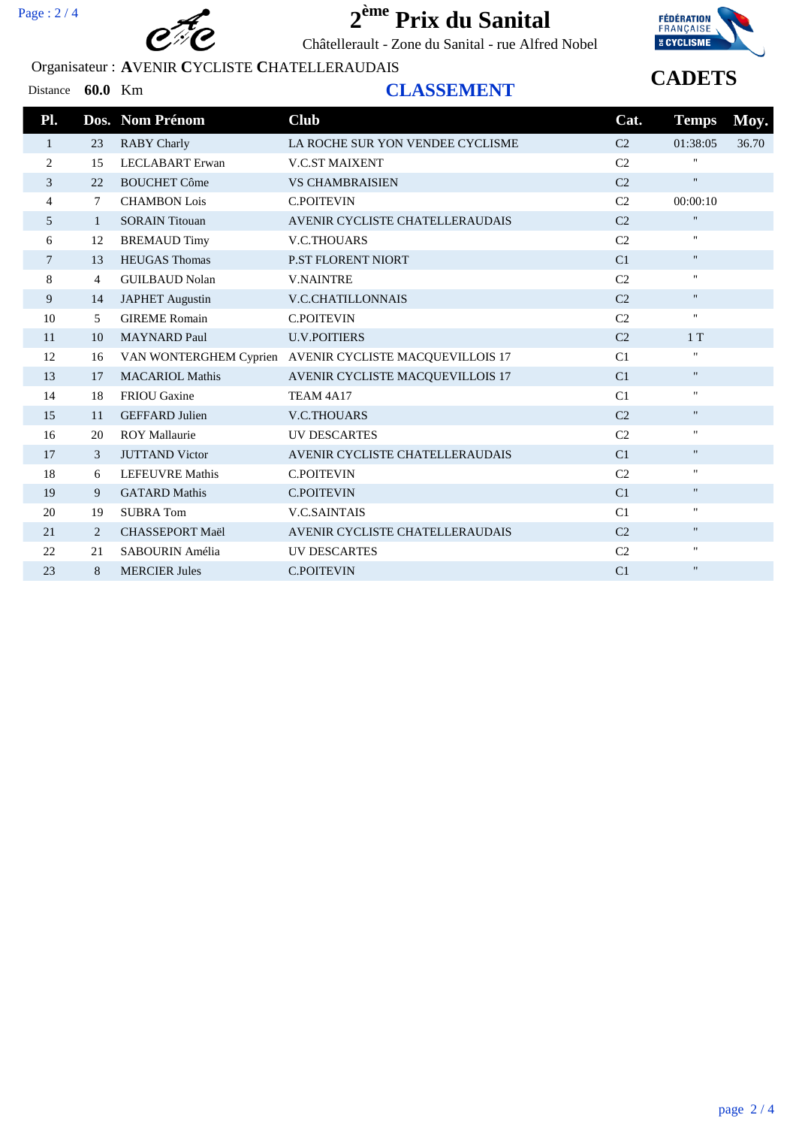

Châtellerault - Zone du Sanital - rue Alfred Nobel

### Organisateur : **A**VENIR **C**YCLISTE **C**HATELLERAUDAIS



## **CADETS**

#### Distance **60.0** Km **CLASSEMENT**

| Pl. |              | Dos. Nom Prénom        | <b>Club</b>                                             | Cat.           | <b>Temps</b> | Moy.  |
|-----|--------------|------------------------|---------------------------------------------------------|----------------|--------------|-------|
| 1   | 23           | <b>RABY Charly</b>     | LA ROCHE SUR YON VENDEE CYCLISME                        | C <sub>2</sub> | 01:38:05     | 36.70 |
| 2   | 15           | <b>LECLABART</b> Erwan | <b>V.C.ST MAIXENT</b>                                   | C <sub>2</sub> | π.           |       |
| 3   | 22           | <b>BOUCHET Côme</b>    | <b>VS CHAMBRAISIEN</b>                                  | C <sub>2</sub> | $\mathbf{H}$ |       |
| 4   | 7            | <b>CHAMBON Lois</b>    | <b>C.POITEVIN</b>                                       | C <sub>2</sub> | 00:00:10     |       |
| 5   | $\mathbf{1}$ | <b>SORAIN Titouan</b>  | AVENIR CYCLISTE CHATELLERAUDAIS                         | C <sub>2</sub> | $\mathbf{H}$ |       |
| 6   | 12           | <b>BREMAUD Timy</b>    | <b>V.C.THOUARS</b>                                      | C <sub>2</sub> | Ħ.           |       |
| 7   | 13           | <b>HEUGAS Thomas</b>   | <b>P.ST FLORENT NIORT</b>                               | C1             | $\mathbf{H}$ |       |
| 8   | 4            | <b>GUILBAUD Nolan</b>  | <b>V.NAINTRE</b>                                        | C <sub>2</sub> | Ħ.           |       |
| 9   | 14           | <b>JAPHET</b> Augustin | <b>V.C.CHATILLONNAIS</b>                                | C <sub>2</sub> | $\mathbf{H}$ |       |
| 10  | 5            | <b>GIREME</b> Romain   | <b>C.POITEVIN</b>                                       | C <sub>2</sub> | H.           |       |
| 11  | 10           | <b>MAYNARD Paul</b>    | <b>U.V.POITIERS</b>                                     | C <sub>2</sub> | 1T           |       |
| 12  | 16           |                        | VAN WONTERGHEM Cyprien AVENIR CYCLISTE MACQUEVILLOIS 17 | C1             | π.           |       |
| 13  | 17           | <b>MACARIOL Mathis</b> | AVENIR CYCLISTE MACQUEVILLOIS 17                        | C1             | П.           |       |
| 14  | 18           | <b>FRIOU</b> Gaxine    | TEAM 4A17                                               | C1             | 11           |       |
| 15  | 11           | <b>GEFFARD</b> Julien  | <b>V.C.THOUARS</b>                                      | C <sub>2</sub> | $\mathbf{H}$ |       |
| 16  | 20           | <b>ROY Mallaurie</b>   | UV DESCARTES                                            | C <sub>2</sub> | $\mathbf{H}$ |       |
| 17  | 3            | <b>JUTTAND</b> Victor  | AVENIR CYCLISTE CHATELLERAUDAIS                         | C1             | $\mathbf{H}$ |       |
| 18  | 6            | <b>LEFEUVRE Mathis</b> | <b>C.POITEVIN</b>                                       | C2             | $\mathbf{H}$ |       |
| 19  | 9            | <b>GATARD Mathis</b>   | <b>C.POITEVIN</b>                                       | C1             | Ħ.           |       |
| 20  | 19           | <b>SUBRATom</b>        | <b>V.C.SAINTAIS</b>                                     | C1             | Ħ.           |       |
| 21  | 2            | <b>CHASSEPORT Maël</b> | AVENIR CYCLISTE CHATELLERAUDAIS                         | C <sub>2</sub> | $\mathbf{H}$ |       |
| 22  | 21           | SABOURIN Amélia        | UV DESCARTES                                            | C <sub>2</sub> | Ħ.           |       |
| 23  | 8            | <b>MERCIER Jules</b>   | <b>C.POITEVIN</b>                                       | C <sub>1</sub> | $\mathbf{H}$ |       |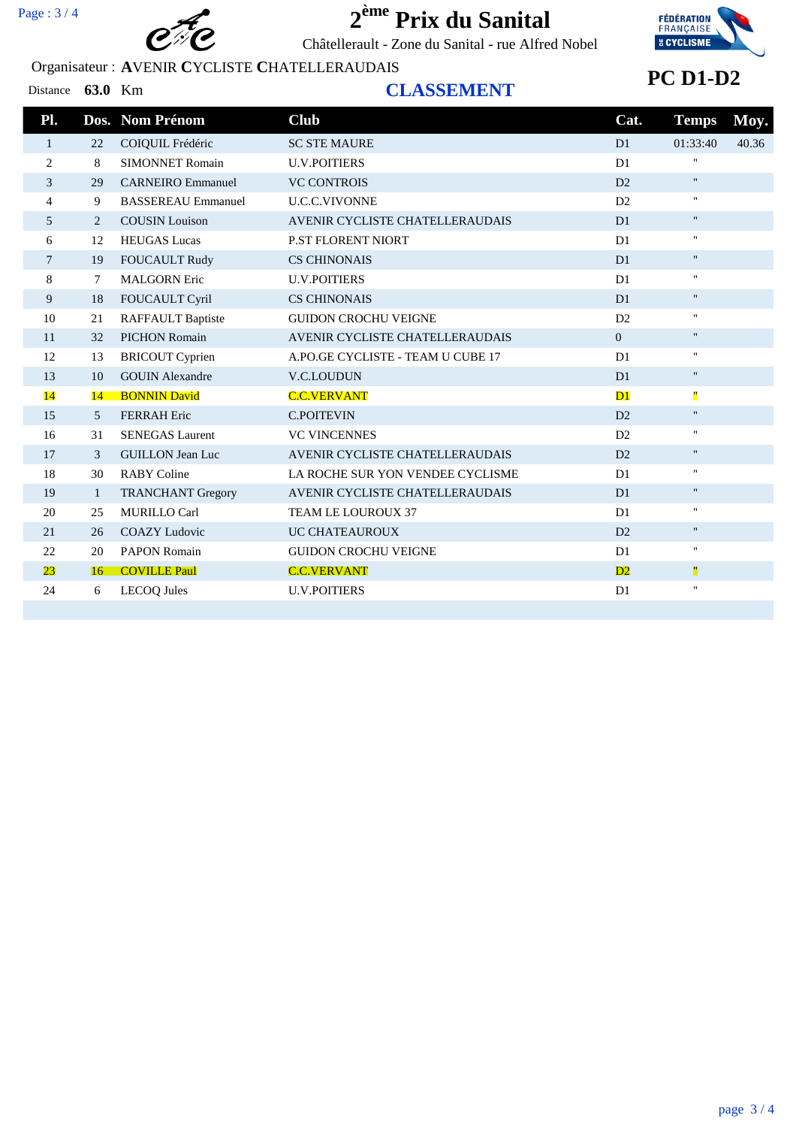

Châtellerault - Zone du Sanital - rue Alfred Nobel

### Organisateur : **A**VENIR **C**YCLISTE **C**HATELLERAUDAIS



## **PC D1-D2**

Distance **63.0** Km **CLASSEMENT**

|              |                           | <b>Club</b>                       | Cat.           |                    | Moy.         |
|--------------|---------------------------|-----------------------------------|----------------|--------------------|--------------|
| 22           | COIQUIL Frédéric          | <b>SC STE MAURE</b>               | D1             | 01:33:40           | 40.36        |
| 8            | <b>SIMONNET Romain</b>    | <b>U.V.POITIERS</b>               | D <sub>1</sub> |                    |              |
| 29           | <b>CARNEIRO</b> Emmanuel  | <b>VC CONTROIS</b>                | D2             | $\mathbf{H}$       |              |
| 9            | <b>BASSEREAU Emmanuel</b> | <b>U.C.C.VIVONNE</b>              | D2             | $\mathbf{H}$       |              |
| 2            | <b>COUSIN</b> Louison     | AVENIR CYCLISTE CHATELLERAUDAIS   | D1             | $\mathbf{H}$       |              |
| 12           | <b>HEUGAS</b> Lucas       | <b>P.ST FLORENT NIORT</b>         | D1             | $\mathbf{H}$       |              |
| 19           | <b>FOUCAULT Rudy</b>      | <b>CS CHINONAIS</b>               | D <sub>1</sub> |                    |              |
| 7            | <b>MALGORN Eric</b>       | <b>U.V.POITIERS</b>               | D1             | Ħ.                 |              |
| 18           | FOUCAULT Cyril            | <b>CS CHINONAIS</b>               | D1             | $\mathbf{H}$       |              |
| 21           | <b>RAFFAULT Baptiste</b>  | <b>GUIDON CROCHU VEIGNE</b>       | D2             |                    |              |
| 32           | <b>PICHON Romain</b>      | AVENIR CYCLISTE CHATELLERAUDAIS   | $\Omega$       | $\mathbf{H}$       |              |
| 13           | <b>BRICOUT Cyprien</b>    | A.PO.GE CYCLISTE - TEAM U CUBE 17 | D <sub>1</sub> | H.                 |              |
| 10           | <b>GOUIN Alexandre</b>    | V.C.LOUDUN                        | D <sub>1</sub> | $\blacksquare$     |              |
| 14           | <b>BONNIN David</b>       | <b>C.C.VERVANT</b>                | D1             | Ш                  |              |
| 5            | <b>FERRAH</b> Eric        | <b>C.POITEVIN</b>                 | D2             |                    |              |
| 31           | <b>SENEGAS Laurent</b>    | <b>VC VINCENNES</b>               | D2             | $\mathbf{H}$       |              |
| 3            | <b>GUILLON Jean Luc</b>   | AVENIR CYCLISTE CHATELLERAUDAIS   | D2             | $\mathbf{H}$       |              |
| 30           | <b>RABY Coline</b>        | LA ROCHE SUR YON VENDEE CYCLISME  | D1             | $\mathbf{H}$       |              |
| $\mathbf{1}$ | <b>TRANCHANT Gregory</b>  | AVENIR CYCLISTE CHATELLERAUDAIS   | D1             | $\mathbf{H}$       |              |
| 25           | <b>MURILLO Carl</b>       | TEAM LE LOUROUX 37                | D <sub>1</sub> | 11                 |              |
| 26           | <b>COAZY Ludovic</b>      | UC CHATEAUROUX                    | D2             | Ħ.                 |              |
| 20           | <b>PAPON Romain</b>       | <b>GUIDON CROCHU VEIGNE</b>       | D1             |                    |              |
| 16           | <b>COVILLE Paul</b>       | <b>C.C.VERVANT</b>                | D2             | Ш                  |              |
| 6            | <b>LECOQ</b> Jules        | <b>U.V.POITIERS</b>               | D <sub>1</sub> | $\pmb{\mathsf{H}}$ |              |
|              |                           | Dos. Nom Prénom                   |                |                    | <b>Temps</b> |